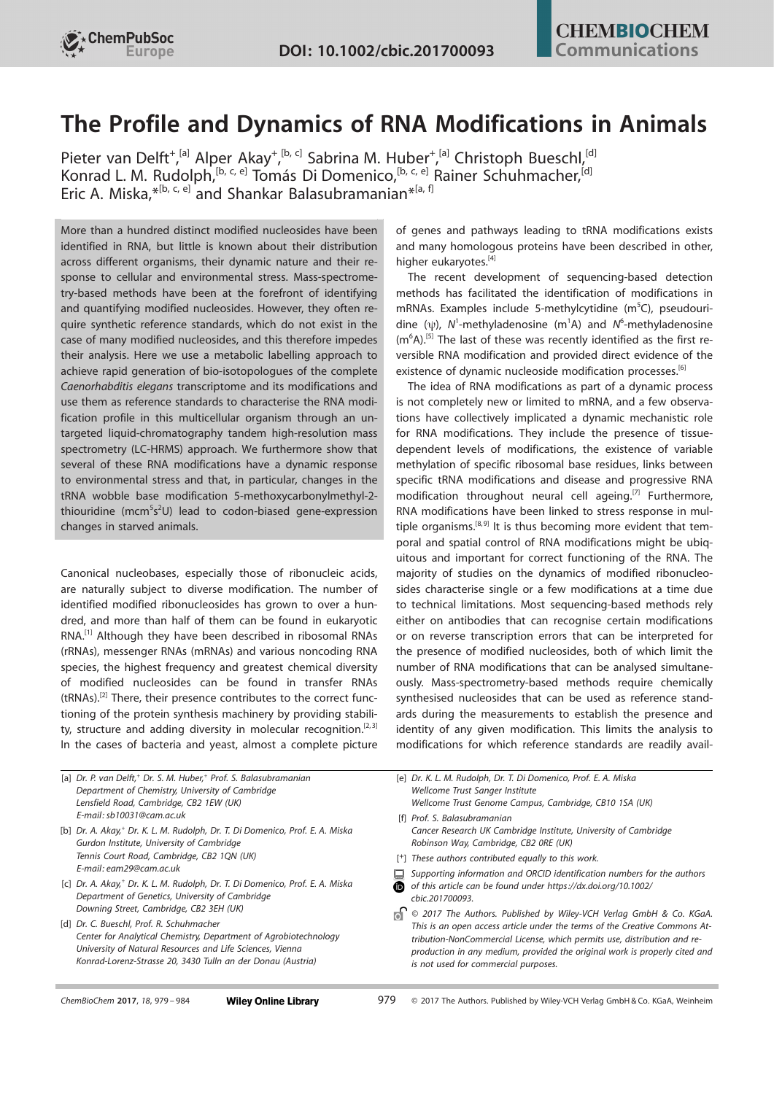

# The Profile and Dynamics of RNA Modifications in Animals

[Pieter van](http://orcid.org/0000-0002-4726-9467) Delft<sup>[+](http://orcid.org/0000-0001-6825-4443) [a]</sup> [Alper](http://orcid.org/0000-0001-6825-4443) Akay<sup>+ [b, c]</sup> Sabrina M. Huber<sup>+ [a]</sup> [Christoph Bueschl,](http://orcid.org/0000-0003-1729-9785)<sup>[d]</sup> [Konrad L. M. Rudolph](http://orcid.org/0000-0002-9866-7051), <sup>[b, c, e]</sup> Tomás Di Domenico, <sup>[b, c, e]</sup> [Rainer Schuhmacher,](http://orcid.org/0000-0002-7520-4943) <sup>[d]</sup> [Eric](http://orcid.org/0000-0002-4450-576X) A. [Miska](http://orcid.org/0000-0002-4450-576X), \*<sup>[b, c, e]</sup> and [Shankar](http://orcid.org/0000-0002-0281-5815) Balasubramanian<sup>\*[a, f]</sup>

More than a hundred distinct modified nucleosides have been identified in RNA, but little is known about their distribution across different organisms, their dynamic nature and their response to cellular and environmental stress. Mass-spectrometry-based methods have been at the forefront of identifying and quantifying modified nucleosides. However, they often require synthetic reference standards, which do not exist in the case of many modified nucleosides, and this therefore impedes their analysis. Here we use a metabolic labelling approach to achieve rapid generation of bio-isotopologues of the complete Caenorhabditis elegans transcriptome and its modifications and use them as reference standards to characterise the RNA modification profile in this multicellular organism through an untargeted liquid-chromatography tandem high-resolution mass spectrometry (LC-HRMS) approach. We furthermore show that several of these RNA modifications have a dynamic response to environmental stress and that, in particular, changes in the tRNA wobble base modification 5-methoxycarbonylmethyl-2 thiouridine (mcm<sup>5</sup>s<sup>2</sup>U) lead to codon-biased gene-expression changes in starved animals.

Canonical nucleobases, especially those of ribonucleic acids, are naturally subject to diverse modification. The number of identified modified ribonucleosides has grown to over a hundred, and more than half of them can be found in eukaryotic RNA.[1] Although they have been described in ribosomal RNAs (rRNAs), messenger RNAs (mRNAs) and various noncoding RNA species, the highest frequency and greatest chemical diversity of modified nucleosides can be found in transfer RNAs (tRNAs).<sup>[2]</sup> There, their presence contributes to the correct functioning of the protein synthesis machinery by providing stability, structure and adding diversity in molecular recognition.<sup>[2,3]</sup> In the cases of bacteria and yeast, almost a complete picture of genes and pathways leading to tRNA modifications exists and many homologous proteins have been described in other, higher eukaryotes.<sup>[4]</sup>

The recent development of sequencing-based detection methods has facilitated the identification of modifications in mRNAs. Examples include 5-methylcytidine  $(m<sup>5</sup>C)$ , pseudouridine ( $\psi$ ), N<sup>1</sup>-methyladenosine (m<sup>1</sup>A) and N<sup>6</sup>-methyladenosine  $(m<sup>6</sup>A).$ <sup>[5]</sup> The last of these was recently identified as the first reversible RNA modification and provided direct evidence of the existence of dynamic nucleoside modification processes.<sup>[6]</sup>

The idea of RNA modifications as part of a dynamic process is not completely new or limited to mRNA, and a few observations have collectively implicated a dynamic mechanistic role for RNA modifications. They include the presence of tissuedependent levels of modifications, the existence of variable methylation of specific ribosomal base residues, links between specific tRNA modifications and disease and progressive RNA modification throughout neural cell ageing.<sup>[7]</sup> Furthermore, RNA modifications have been linked to stress response in multiple organisms. $[8,9]$  It is thus becoming more evident that temporal and spatial control of RNA modifications might be ubiquitous and important for correct functioning of the RNA. The majority of studies on the dynamics of modified ribonucleosides characterise single or a few modifications at a time due to technical limitations. Most sequencing-based methods rely either on antibodies that can recognise certain modifications or on reverse transcription errors that can be interpreted for the presence of modified nucleosides, both of which limit the number of RNA modifications that can be analysed simultaneously. Mass-spectrometry-based methods require chemically synthesised nucleosides that can be used as reference standards during the measurements to establish the presence and identity of any given modification. This limits the analysis to modifications for which reference standards are readily avail-

| [a] Dr. P. van Delft, <sup>+</sup> Dr. S. M. Huber, <sup>+</sup> Prof. S. Balasubramanian |
|-------------------------------------------------------------------------------------------|
| Department of Chemistry, University of Cambridge                                          |
| Lensfield Road, Cambridge, CB2 1EW (UK)                                                   |
| E-mail: sb10031@cam.ac.uk                                                                 |
|                                                                                           |

[b] Dr. A. Akay.<sup>+</sup> Dr. K. L. M. Rudolph, Dr. T. Di D omenico, Prof. E. A. Miska Gurdon Institute, University of Cambridge Tennis Court Road, Cambridge, CB2 1QN (UK) E-mail: eam29@cam.ac.uk

- [c] Dr. A. Akay,<sup>+</sup> Dr. K. L. M. Rudolph, Dr. T. Di Domenico, Prof. E. A. Miska Department of Genetics, University of Cambridge Downing Street, Cambridge, CB2 3EH (UK)
- [d] Dr. C. Bueschl, Prof. R. Schuhmacher Center for Analytical Chemistry, Department of Agrobiotechnology University of Natural Resources and Life Sciences, Vienna Konrad-Lorenz-Strasse 20, 3430 Tulln an der Donau (Austria)

[e] Dr. K. L. M. Rudolph, Dr. T. Di Domenico, Prof. E. A. Miska Wellcome Trust Sanger Institute Wellcome Trust Genome Campus, Cambridge, CB10 1SA (UK)

- [f] Prof. S. Balasubramanian Cancer Research UK Cambridge Institute, University of Cambridge Robinson Way, Cambridge, CB2 0RE (UK)
- [<sup>+</sup>] These authors contributed equally to this work.
- Supporting information and ORCID identification numbers for the authors
- of this article can be found under [https://dx.doi.org/10.1002/](https://dx.doi.org/10.1002/cbic.201700093) [cbic.201700093.](https://dx.doi.org/10.1002/cbic.201700093)
- $\bigcap$  © 2017 The Authors. Published by Wiley-VCH Verlag GmbH & Co. KGaA. This is an open access article under the terms of the Creative Commons Attribution-NonCommercial License, which permits use, distribution and reproduction in any medium, provided the original work is properly cited and is not used for commercial purposes.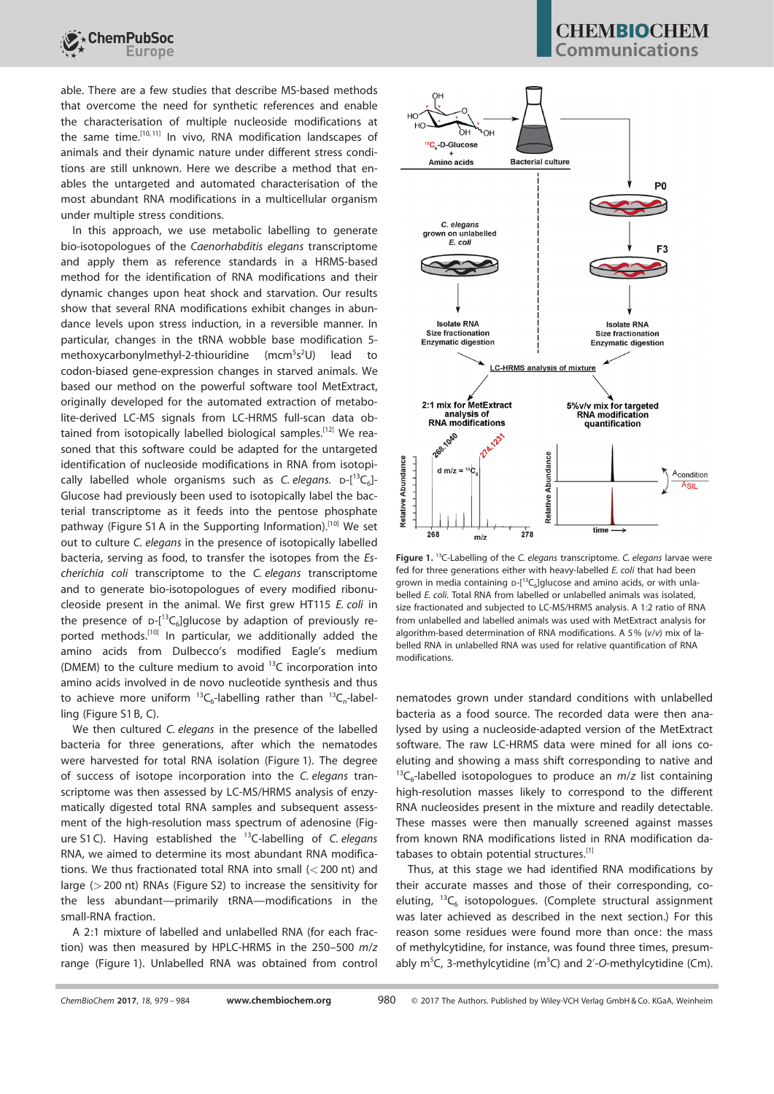

able. There are a few studies that describe MS-based methods that overcome the need for synthetic references and enable the characterisation of multiple nucleoside modifications at the same time.<sup>[10,11]</sup> In vivo, RNA modification landscapes of animals and their dynamic nature under different stress conditions are still unknown. Here we describe a method that enables the untargeted and automated characterisation of the most abundant RNA modifications in a multicellular organism under multiple stress conditions.

In this approach, we use metabolic labelling to generate bio-isotopologues of the Caenorhabditis elegans transcriptome and apply them as reference standards in a HRMS-based method for the identification of RNA modifications and their dynamic changes upon heat shock and starvation. Our results show that several RNA modifications exhibit changes in abundance levels upon stress induction, in a reversible manner. In particular, changes in the tRNA wobble base modification 5 methoxycarbonylmethyl-2-thiouridine (mcm<sup>5</sup>s<sup>2</sup>U) lead to codon-biased gene-expression changes in starved animals. We based our method on the powerful software tool MetExtract, originally developed for the automated extraction of metabolite-derived LC-MS signals from LC-HRMS full-scan data obtained from isotopically labelled biological samples.<sup>[12]</sup> We reasoned that this software could be adapted for the untargeted identification of nucleoside modifications in RNA from isotopically labelled whole organisms such as C. elegans.  $D-[1^3C_6]$ -Glucose had previously been used to isotopically label the bacterial transcriptome as it feeds into the pentose phosphate pathway (Figure S1 A in the Supporting Information).<sup>[10]</sup> We set out to culture C. elegans in the presence of isotopically labelled bacteria, serving as food, to transfer the isotopes from the Escherichia coli transcriptome to the C. elegans transcriptome and to generate bio-isotopologues of every modified ribonucleoside present in the animal. We first grew HT115 E. coli in the presence of  $D-[13C_6]$ glucose by adaption of previously reported methods.<sup>[10]</sup> In particular, we additionally added the amino acids from Dulbecco's modified Eagle's medium (DMEM) to the culture medium to avoid  $^{13}$ C incorporation into amino acids involved in de novo nucleotide synthesis and thus to achieve more uniform  ${}^{13}C_6$ -labelling rather than  ${}^{13}C_n$ -labelling (Figure S1B, C).

We then cultured C. elegans in the presence of the labelled bacteria for three generations, after which the nematodes were harvested for total RNA isolation (Figure 1). The degree of success of isotope incorporation into the C. elegans transcriptome was then assessed by LC-MS/HRMS analysis of enzymatically digested total RNA samples and subsequent assessment of the high-resolution mass spectrum of adenosine (Figure S1C). Having established the  $^{13}$ C-labelling of C. elegans RNA, we aimed to determine its most abundant RNA modifications. We thus fractionated total RNA into small  $(<$  200 nt) and large (>200 nt) RNAs (Figure S2) to increase the sensitivity for the less abundant—primarily tRNA—modifications in the small-RNA fraction.

A 2:1 mixture of labelled and unlabelled RNA (for each fraction) was then measured by HPLC-HRMS in the 250–500 m/z range (Figure 1). Unlabelled RNA was obtained from control

## **CHEMBIOCHEM** ommunications



Figure 1.<sup>13</sup>C-Labelling of the C. elegans transcriptome. C. elegans larvae were fed for three generations either with heavy-labelled E. coli that had been grown in media containing  $D-[1^3C_6]$ glucose and amino acids, or with unlabelled E. coli. Total RNA from labelled or unlabelled animals was isolated, size fractionated and subjected to LC-MS/HRMS analysis. A 1:2 ratio of RNA from unlabelled and labelled animals was used with MetExtract analysis for algorithm-based determination of RNA modifications. A 5% (v/v) mix of labelled RNA in unlabelled RNA was used for relative quantification of RNA modifications.

nematodes grown under standard conditions with unlabelled bacteria as a food source. The recorded data were then analysed by using a nucleoside-adapted version of the MetExtract software. The raw LC-HRMS data were mined for all ions coeluting and showing a mass shift corresponding to native and  $^{13}C_6$ -labelled isotopologues to produce an  $m/z$  list containing high-resolution masses likely to correspond to the different RNA nucleosides present in the mixture and readily detectable. These masses were then manually screened against masses from known RNA modifications listed in RNA modification databases to obtain potential structures.<sup>[1]</sup>

Thus, at this stage we had identified RNA modifications by their accurate masses and those of their corresponding, coeluting,  ${}^{13}C_6$  isotopologues. (Complete structural assignment was later achieved as described in the next section.) For this reason some residues were found more than once: the mass of methylcytidine, for instance, was found three times, presumably  $m^5C$ , 3-methylcytidine ( $m^3C$ ) and 2'-O-methylcytidine (Cm).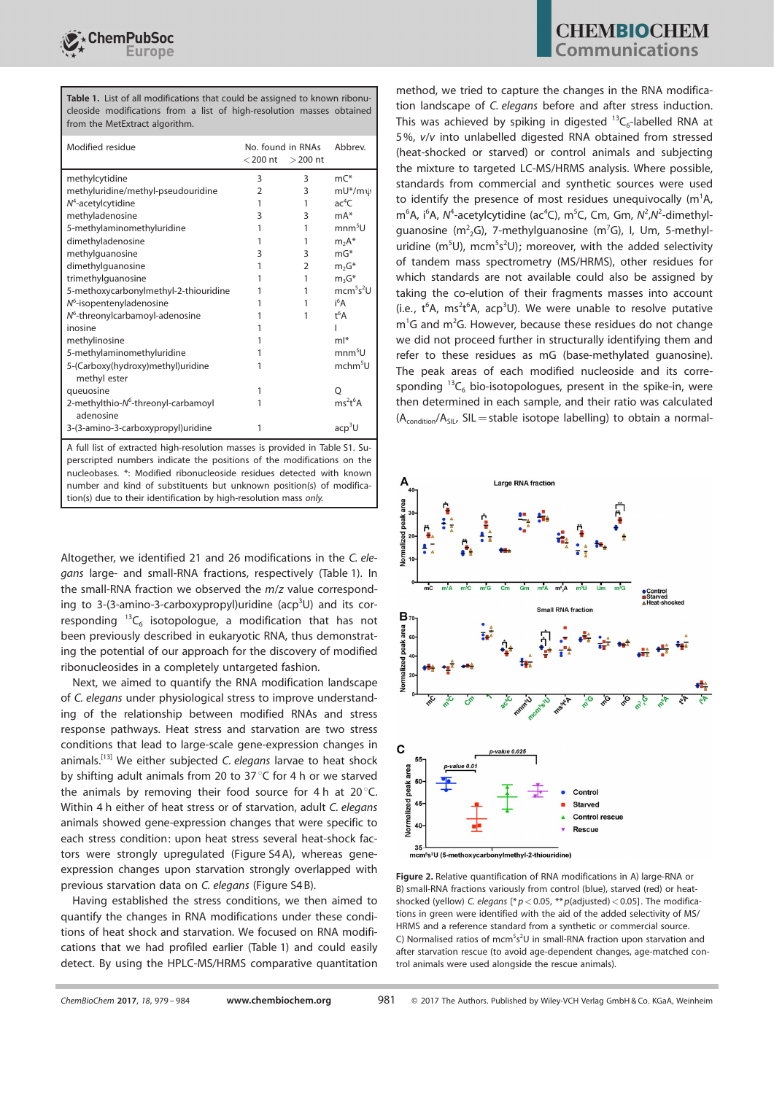Table 1. List of all modifications that could be assigned to known ribonucleoside modifications from a list of high-resolution masses obtained from the MetExtract algorithm.

| Modified residue                                             | No. found in RNAs<br>$<$ 200 nt<br>$>$ 200 nt |   | Abbrey                            |
|--------------------------------------------------------------|-----------------------------------------------|---|-----------------------------------|
| methylcytidine                                               | 3                                             | 3 | $mC^*$                            |
| methyluridine/methyl-pseudouridine                           | 2                                             | 3 | $mU^*/m\psi$                      |
| $N4$ -acetylcytidine                                         | 1                                             | 1 | ac <sup>4</sup> C                 |
| methyladenosine                                              | 3                                             | 3 | $mA*$                             |
| 5-methylaminomethyluridine                                   | 1                                             | 1 | mm <sup>5</sup> U                 |
| dimethyladenosine                                            | 1                                             | 1 | $m2A*$                            |
| methylguanosine                                              | 3                                             | 3 | $mG*$                             |
| dimethylguanosine                                            | 1                                             | 2 | $m2G*$                            |
| trimethylguanosine                                           | 1                                             | 1 | $m_3G^*$                          |
| 5-methoxycarbonylmethyl-2-thiouridine                        |                                               | 1 | mcm <sup>5</sup> s <sup>2</sup> U |
| N <sup>6</sup> -isopentenyladenosine                         |                                               | 1 | i <sup>6</sup> A                  |
| $N^6$ -threonylcarbamoyl-adenosine                           |                                               | 1 | $t^6A$                            |
| inosine                                                      |                                               |   |                                   |
| methylinosine                                                |                                               |   | $ml*$                             |
| 5-methylaminomethyluridine                                   |                                               |   | $mm5$ U                           |
| 5-(Carboxy(hydroxy)methyl)uridine<br>methyl ester            |                                               |   | mchm <sup>5</sup> U               |
| queuosine                                                    | 1                                             |   | Ο                                 |
| 2-methylthio-N <sup>6</sup> -threonyl-carbamoyl<br>adenosine |                                               |   | $ms^2t^6A$                        |
| 3-(3-amino-3-carboxypropyl)uridine                           | 1                                             |   | acp <sup>3</sup> U                |

A full list of extracted high-resolution masses is provided in Table S1. Superscripted numbers indicate the positions of the modifications on the nucleobases. \*: Modified ribonucleoside residues detected with known number and kind of substituents but unknown position(s) of modification(s) due to their identification by high-resolution mass only.

Altogether, we identified 21 and 26 modifications in the C. elegans large- and small-RNA fractions, respectively (Table 1). In the small-RNA fraction we observed the m/z value corresponding to 3-(3-amino-3-carboxypropyl)uridine (acp<sup>3</sup>U) and its corresponding  $^{13}C_6$  isotopologue, a modification that has not been previously described in eukaryotic RNA, thus demonstrating the potential of our approach for the discovery of modified ribonucleosides in a completely untargeted fashion.

Next, we aimed to quantify the RNA modification landscape of C. elegans under physiological stress to improve understanding of the relationship between modified RNAs and stress response pathways. Heat stress and starvation are two stress conditions that lead to large-scale gene-expression changes in animals.<sup>[13]</sup> We either subjected C. elegans larvae to heat shock by shifting adult animals from 20 to  $37^{\circ}$ C for 4 h or we starved the animals by removing their food source for 4 h at 20 $^{\circ}$ C. Within 4 h either of heat stress or of starvation, adult C. elegans animals showed gene-expression changes that were specific to each stress condition: upon heat stress several heat-shock factors were strongly upregulated (Figure S4A), whereas geneexpression changes upon starvation strongly overlapped with previous starvation data on C. elegans (Figure S4B).

Having established the stress conditions, we then aimed to quantify the changes in RNA modifications under these conditions of heat shock and starvation. We focused on RNA modifications that we had profiled earlier (Table 1) and could easily detect. By using the HPLC-MS/HRMS comparative quantitation

method, we tried to capture the changes in the RNA modification landscape of C. elegans before and after stress induction. This was achieved by spiking in digested  $^{13}C_6$ -labelled RNA at 5%, v/v into unlabelled digested RNA obtained from stressed (heat-shocked or starved) or control animals and subjecting the mixture to targeted LC-MS/HRMS analysis. Where possible, standards from commercial and synthetic sources were used to identify the presence of most residues unequivocally  $(m^1A,$ m<sup>6</sup>A, i<sup>6</sup>A, N<sup>4</sup>-acetylcytidine (ac<sup>4</sup>C), m<sup>5</sup>C, Cm, Gm, N<sup>2</sup>,N<sup>2</sup>-dimethylguanosine (m<sup>2</sup><sub>2</sub>G), 7-methylguanosine (m<sup>7</sup>G), I, Um, 5-methyluridine ( $m<sup>5</sup>U$ ), mcm<sup>5</sup>s<sup>2</sup>U); moreover, with the added selectivity of tandem mass spectrometry (MS/HRMS), other residues for which standards are not available could also be assigned by taking the co-elution of their fragments masses into account (i.e.,  $t^6$ A, ms<sup>2</sup> $t^6$ A, acp<sup>3</sup>U). We were unable to resolve putative  $m<sup>1</sup>G$  and  $m<sup>2</sup>G$ . However, because these residues do not change we did not proceed further in structurally identifying them and refer to these residues as mG (base-methylated guanosine). The peak areas of each modified nucleoside and its corresponding  $^{13}C_6$  bio-isotopologues, present in the spike-in, were then determined in each sample, and their ratio was calculated  $(A_{condition}/A_{SIL}$ , SIL = stable isotope labelling) to obtain a normal-



Figure 2. Relative quantification of RNA modifications in A) large-RNA or B) small-RNA fractions variously from control (blue), starved (red) or heatshocked (yellow) C. elegans  $\frac{p}{p}$  < 0.05, \*\* p(adjusted) < 0.05]. The modifications in green were identified with the aid of the added selectivity of MS/ HRMS and a reference standard from a synthetic or commercial source. C) Normalised ratios of mcm<sup>5</sup>s<sup>2</sup>U in small-RNA fraction upon starvation and after starvation rescue (to avoid age-dependent changes, age-matched control animals were used alongside the rescue animals).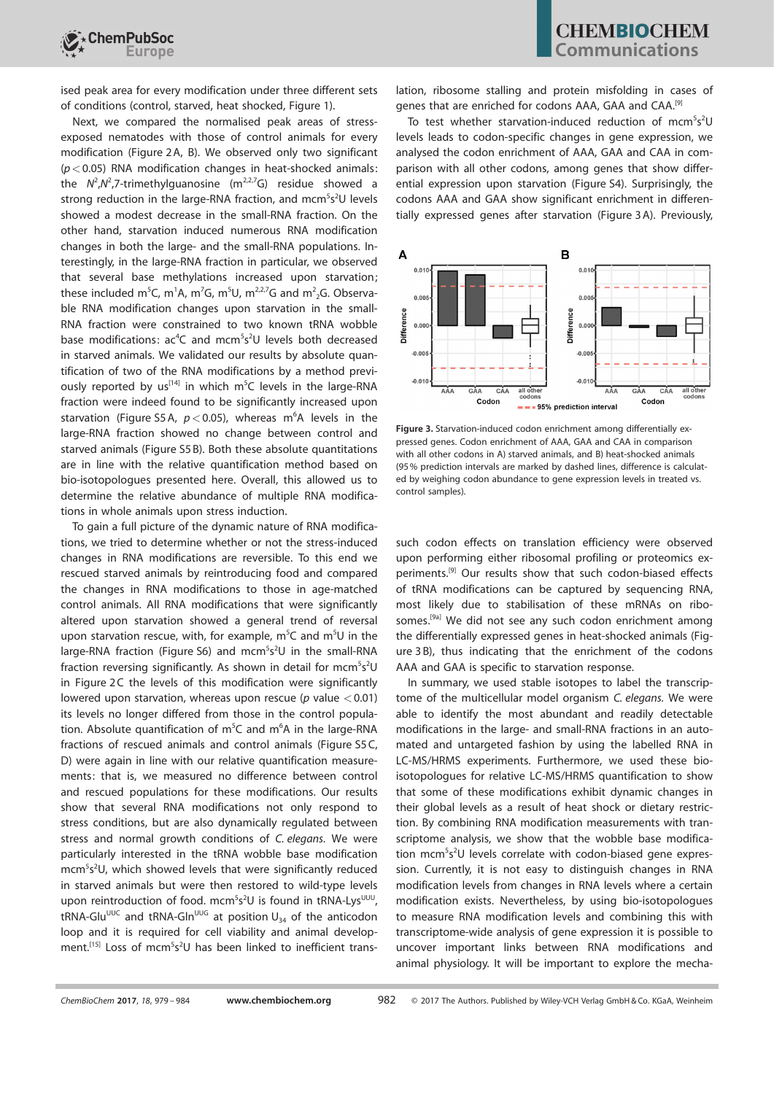

ised peak area for every modification under three different sets of conditions (control, starved, heat shocked, Figure 1).

Next, we compared the normalised peak areas of stressexposed nematodes with those of control animals for every modification (Figure 2A, B). We observed only two significant  $(p < 0.05)$  RNA modification changes in heat-shocked animals: the  $N^2$ , $N^2$ , $7$ -trimethylguanosine (m<sup>2,2,7</sup>G) residue showed a strong reduction in the large-RNA fraction, and mcm<sup>5</sup>s<sup>2</sup>U levels showed a modest decrease in the small-RNA fraction. On the other hand, starvation induced numerous RNA modification changes in both the large- and the small-RNA populations. Interestingly, in the large-RNA fraction in particular, we observed that several base methylations increased upon starvation; these included m<sup>5</sup>C, m<sup>1</sup>A, m<sup>7</sup>G, m<sup>5</sup>U, m<sup>2,2,7</sup>G and m<sup>2</sup><sub>2</sub>G. Observable RNA modification changes upon starvation in the small-RNA fraction were constrained to two known tRNA wobble base modifications: ac<sup>4</sup>C and mcm<sup>5</sup>s<sup>2</sup>U levels both decreased in starved animals. We validated our results by absolute quantification of two of the RNA modifications by a method previously reported by  $us^{[14]}$  in which m<sup>5</sup>C levels in the large-RNA fraction were indeed found to be significantly increased upon starvation (Figure S5A,  $p < 0.05$ ), whereas m<sup>6</sup>A levels in the large-RNA fraction showed no change between control and starved animals (Figure S5 B). Both these absolute quantitations are in line with the relative quantification method based on bio-isotopologues presented here. Overall, this allowed us to determine the relative abundance of multiple RNA modifications in whole animals upon stress induction.

To gain a full picture of the dynamic nature of RNA modifications, we tried to determine whether or not the stress-induced changes in RNA modifications are reversible. To this end we rescued starved animals by reintroducing food and compared the changes in RNA modifications to those in age-matched control animals. All RNA modifications that were significantly altered upon starvation showed a general trend of reversal upon starvation rescue, with, for example,  $m^5C$  and  $m^5U$  in the large-RNA fraction (Figure S6) and mcm<sup>5</sup>s<sup>2</sup>U in the small-RNA fraction reversing significantly. As shown in detail for mcm $5s^2$ U in Figure 2C the levels of this modification were significantly lowered upon starvation, whereas upon rescue ( $p$  value  $< 0.01$ ) its levels no longer differed from those in the control population. Absolute quantification of m<sup>5</sup>C and m<sup>6</sup>A in the large-RNA fractions of rescued animals and control animals (Figure S5C, D) were again in line with our relative quantification measurements: that is, we measured no difference between control and rescued populations for these modifications. Our results show that several RNA modifications not only respond to stress conditions, but are also dynamically regulated between stress and normal growth conditions of C. elegans. We were particularly interested in the tRNA wobble base modification mcm<sup>5</sup>s<sup>2</sup>U, which showed levels that were significantly reduced in starved animals but were then restored to wild-type levels upon reintroduction of food. mcm<sup>5</sup>s<sup>2</sup>U is found in tRNA-Lys<sup>UUU</sup>,  $tRNA-Glu<sup>UUC</sup>$  and  $tRNA-GIn<sup>UUG</sup>$  at position  $U_{34}$  of the anticodon loop and it is required for cell viability and animal development.<sup>[15]</sup> Loss of mcm<sup>5</sup>s<sup>2</sup>U has been linked to inefficient trans-

lation, ribosome stalling and protein misfolding in cases of genes that are enriched for codons AAA, GAA and CAA.[9]

To test whether starvation-induced reduction of mcm<sup>5</sup>s<sup>2</sup>U levels leads to codon-specific changes in gene expression, we analysed the codon enrichment of AAA, GAA and CAA in comparison with all other codons, among genes that show differential expression upon starvation (Figure S4). Surprisingly, the codons AAA and GAA show significant enrichment in differentially expressed genes after starvation (Figure 3 A). Previously,



Figure 3. Starvation-induced codon enrichment among differentially expressed genes. Codon enrichment of AAA, GAA and CAA in comparison with all other codons in A) starved animals, and B) heat-shocked animals (95% prediction intervals are marked by dashed lines, difference is calculated by weighing codon abundance to gene expression levels in treated vs. control samples).

such codon effects on translation efficiency were observed upon performing either ribosomal profiling or proteomics experiments.<sup>[9]</sup> Our results show that such codon-biased effects of tRNA modifications can be captured by sequencing RNA, most likely due to stabilisation of these mRNAs on ribosomes.<sup>[9a]</sup> We did not see any such codon enrichment among the differentially expressed genes in heat-shocked animals (Figure 3 B), thus indicating that the enrichment of the codons AAA and GAA is specific to starvation response.

In summary, we used stable isotopes to label the transcriptome of the multicellular model organism C. elegans. We were able to identify the most abundant and readily detectable modifications in the large- and small-RNA fractions in an automated and untargeted fashion by using the labelled RNA in LC-MS/HRMS experiments. Furthermore, we used these bioisotopologues for relative LC-MS/HRMS quantification to show that some of these modifications exhibit dynamic changes in their global levels as a result of heat shock or dietary restriction. By combining RNA modification measurements with transcriptome analysis, we show that the wobble base modification mcm<sup>5</sup>s<sup>2</sup>U levels correlate with codon-biased gene expression. Currently, it is not easy to distinguish changes in RNA modification levels from changes in RNA levels where a certain modification exists. Nevertheless, by using bio-isotopologues to measure RNA modification levels and combining this with transcriptome-wide analysis of gene expression it is possible to uncover important links between RNA modifications and animal physiology. It will be important to explore the mecha-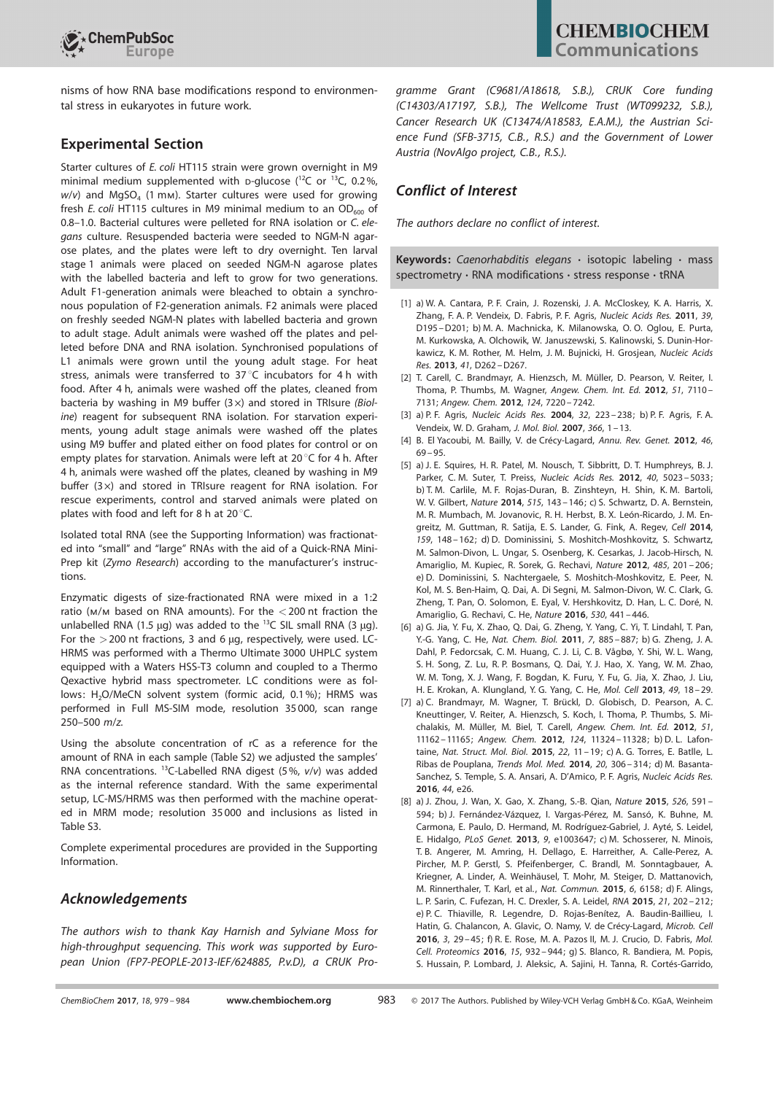

nisms of how RNA base modifications respond to environmental stress in eukaryotes in future work.

#### Experimental Section

Starter cultures of E. coli HT115 strain were grown overnight in M9 minimal medium supplemented with  $p$ -glucose ( $^{12}C$  or  $^{13}C$ , 0.2%,  $w/v$ ) and MgSO<sub>4</sub> (1 mm). Starter cultures were used for growing fresh E. coli HT115 cultures in M9 minimal medium to an  $OD<sub>600</sub>$  of 0.8–1.0. Bacterial cultures were pelleted for RNA isolation or C. elegans culture. Resuspended bacteria were seeded to NGM-N agarose plates, and the plates were left to dry overnight. Ten larval stage 1 animals were placed on seeded NGM-N agarose plates with the labelled bacteria and left to grow for two generations. Adult F1-generation animals were bleached to obtain a synchronous population of F2-generation animals. F2 animals were placed on freshly seeded NGM-N plates with labelled bacteria and grown to adult stage. Adult animals were washed off the plates and pelleted before DNA and RNA isolation. Synchronised populations of L1 animals were grown until the young adult stage. For heat stress, animals were transferred to  $37^{\circ}$ C incubators for 4 h with food. After 4 h, animals were washed off the plates, cleaned from bacteria by washing in M9 buffer  $(3\times)$  and stored in TRIsure (Bioline) reagent for subsequent RNA isolation. For starvation experiments, young adult stage animals were washed off the plates using M9 buffer and plated either on food plates for control or on empty plates for starvation. Animals were left at  $20^{\circ}$ C for 4 h. After 4 h, animals were washed off the plates, cleaned by washing in M9 buffer  $(3x)$  and stored in TRIsure reagent for RNA isolation. For rescue experiments, control and starved animals were plated on plates with food and left for 8 h at  $20^{\circ}$ C.

Isolated total RNA (see the Supporting Information) was fractionated into "small" and "large" RNAs with the aid of a Quick-RNA Mini-Prep kit (Zymo Research) according to the manufacturer's instructions.

Enzymatic digests of size-fractionated RNA were mixed in a 1:2 ratio ( $M/M$  based on RNA amounts). For the  $<$  200 nt fraction the unlabelled RNA (1.5 µg) was added to the  $^{13}$ C SIL small RNA (3 µg). For the  $>$  200 nt fractions, 3 and 6  $\mu$ g, respectively, were used. LC-HRMS was performed with a Thermo Ultimate 3000 UHPLC system equipped with a Waters HSS-T3 column and coupled to a Thermo Qexactive hybrid mass spectrometer. LC conditions were as follows: H<sub>2</sub>O/MeCN solvent system (formic acid, 0.1%); HRMS was performed in Full MS-SIM mode, resolution 35000, scan range 250–500 m/z.

Using the absolute concentration of rC as a reference for the amount of RNA in each sample (Table S2) we adjusted the samples' RNA concentrations. <sup>13</sup>C-Labelled RNA digest (5%, v/v) was added as the internal reference standard. With the same experimental setup, LC-MS/HRMS was then performed with the machine operated in MRM mode; resolution 35 000 and inclusions as listed in Table S3.

Complete experimental procedures are provided in the Supporting Information.

#### Acknowledgements

The authors wish to thank Kay Harnish and Sylviane Moss for high-throughput sequencing. This work was supported by European Union (FP7-PEOPLE-2013-IEF/624885, P.v.D), a CRUK Programme Grant (C9681/A18618, S.B.), CRUK Core funding (C14303/A17197, S.B.), The Wellcome Trust (WT099232, S.B.), Cancer Research UK (C13474/A18583, E.A.M.), the Austrian Science Fund (SFB-3715, C.B., R.S.) and the Government of Lower Austria (NovAlgo project, C.B., R.S.).

### Conflict of Interest

The authors declare no conflict of interest.

Keywords: Caenorhabditis elegans · isotopic labeling · mass spectrometry · RNA modifications · stress response · tRNA

- [1] a) W. A. Cantara, P. F. Crain, J. Rozenski, J. A. McCloskey, K. A. Harris, X. Zhang, F. A. P. Vendeix, D. Fabris, P. F. Agris, [Nucleic](https://doi.org/10.1093/nar/gkq1028) Acids Res. 2011, 39, [D195](https://doi.org/10.1093/nar/gkq1028) [–D201;](https://doi.org/10.1093/nar/gkq1028) b) M. A. Machnicka, K. Milanowska, O. O. Oglou, E. Purta, M. Kurkowska, A. Olchowik, W. Januszewski, S. Kalinowski, S. Dunin-Horkawicz, K. M. Rother, M. Helm, J. M. Bujnicki, H. Grosjean, [Nucleic](https://doi.org/10.1093/nar/gks1007) Acids Res. 2013, 41[, D262](https://doi.org/10.1093/nar/gks1007) [–D267.](https://doi.org/10.1093/nar/gks1007)
- [2] T. Carell, C. Brandmayr, A. Hienzsch, M. Müller, D. Pearson, V. Reiter, I. Thoma, P. Thumbs, M. Wagner, [Angew. Chem.](https://doi.org/10.1002/anie.201201193) Int. Ed. 2012, 51, 7110-[7131;](https://doi.org/10.1002/anie.201201193) [Angew. Chem.](https://doi.org/10.1002/ange.201201193) 2012, 124, 7220 – 7242.
- [3] a) P. F. Agris, [Nucleic](https://doi.org/10.1093/nar/gkh185) Acids Res. 2004, 32[, 223– 238](https://doi.org/10.1093/nar/gkh185); b) P. F. Agris, F. A. Vendeix, W. D. Graham, J. Mol. Biol. [2007](https://doi.org/10.1016/j.jmb.2006.11.046), 366, 1 – 13.
- [4] B. El Yacoubi, M. Bailly, V. de Crécy-Lagard, [Annu. Rev. Genet.](https://doi.org/10.1146/annurev-genet-110711-155641) 2012, 46, [69– 95](https://doi.org/10.1146/annurev-genet-110711-155641).
- [5] a) J. E. Squires, H. R. Patel, M. Nousch, T. Sibbritt, D. T. Humphreys, B. J. Parker, C. M. Suter, T. Preiss, [Nucleic](https://doi.org/10.1093/nar/gks144) Acids Res. 2012, 40[, 5023– 5033](https://doi.org/10.1093/nar/gks144); b) T. M. Carlile, M. F. Rojas-Duran, B. Zinshteyn, H. Shin, K. M. Bartoli, W. V. Gilbert, [Nature](https://doi.org/10.1038/nature13802) 2014, 515[, 143– 146](https://doi.org/10.1038/nature13802); c) S. Schwartz, D. A. Bernstein, M. R. Mumbach, M. Jovanovic, R. H. Herbst, B. X. León-Ricardo, J. M. En-greitz, M. Guttman, R. Satija, E. S. Lander, G. Fink, A. Regev, Cell [2014](https://doi.org/10.1016/j.cell.2014.08.028), 159[, 148– 162](https://doi.org/10.1016/j.cell.2014.08.028); d) D. Dominissini, S. Moshitch-Moshkovitz, S. Schwartz, M. Salmon-Divon, L. Ungar, S. Osenberg, K. Cesarkas, J. Jacob-Hirsch, N. Amariglio, M. Kupiec, R. Sorek, G. Rechavi, [Nature](https://doi.org/10.1038/nature11112) 2012, 485, 201 – 206; e) D. Dominissini, S. Nachtergaele, S. Moshitch-Moshkovitz, E. Peer, N. Kol, M. S. Ben-Haim, Q. Dai, A. Di Segni, M. Salmon-Divon, W. C. Clark, G. Zheng, T. Pan, O. Solomon, E. Eyal, V. Hershkovitz, D. Han, L. C. Doré, N. Amariglio, G. Rechavi, C. He, [Nature](https://doi.org/10.1038/nature16998) 2016, 530, 441 – 446.
- [6] a) G. Jia, Y. Fu, X. Zhao, Q. Dai, G. Zheng, Y. Yang, C. Yi, T. Lindahl, T. Pan, Y.-G. Yang, C. He, Nat. [Chem.](https://doi.org/10.1038/nchembio.687) Biol. 2011, 7[, 885– 887](https://doi.org/10.1038/nchembio.687); b) G. Zheng, J. A. Dahl, P. Fedorcsak, C. M. Huang, C. J. Li, C. B. Vågbø, Y. Shi, W. L. Wang, S. H. Song, Z. Lu, R. P. Bosmans, Q. Dai, Y. J. Hao, X. Yang, W. M. Zhao, W. M. Tong, X. J. Wang, F. Bogdan, K. Furu, Y. Fu, G. Jia, X. Zhao, J. Liu, H. E. Krokan, A. Klungland, Y. G. Yang, C. He, Mol. Cell [2013](https://doi.org/10.1016/j.molcel.2012.10.015), 49[, 18 –](https://doi.org/10.1016/j.molcel.2012.10.015) 29.
- [7] a) C. Brandmayr, M. Wagner, T. Brückl, D. Globisch, D. Pearson, A. C. Kneuttinger, V. Reiter, A. Hienzsch, S. Koch, I. Thoma, P. Thumbs, S. Mi-chalakis, M. Müller, M. Biel, T. Carell, [Angew. Chem.](https://doi.org/10.1002/anie.201203769) Int. Ed. 2012, 51, [11162](https://doi.org/10.1002/anie.201203769) [– 11165](https://doi.org/10.1002/anie.201203769); Angew. Chem. 2012, 124[, 11324](https://doi.org/10.1002/ange.201203769) – 11328; b) D. L. Lafontaine, Nat. [Struct.](https://doi.org/10.1038/nsmb.2939) Mol. Biol. 2015, 22, 11 – 19; c) A. G. Torres, E. Batlle, L. Ribas de Pouplana, [Trends](https://doi.org/10.1016/j.molmed.2014.01.008) Mol. Med. 2014, 20[, 306– 314](https://doi.org/10.1016/j.molmed.2014.01.008); d) M. Basanta-Sanchez, S. Temple, S. A. Ansari, A. D'Amico, P. F. Agris, [Nucleic](https://doi.org/10.1093/nar/gkv971) Acids Res. [2016](https://doi.org/10.1093/nar/gkv971), 44, e26.
- [8] a) J. Zhou, J. Wan, X. Gao, X. Zhang, S.-B. Qian, [Nature](https://doi.org/10.1038/nature15377) 2015, 526, 591-[594](https://doi.org/10.1038/nature15377); b) J. Fernández-Vázquez, I. Vargas-Pérez, M. Sansó, K. Buhne, M. Carmona, E. Paulo, D. Hermand, M. Rodríguez-Gabriel, J. Ayté, S. Leidel, E. Hidalgo, PLoS Genet. 2013, 9[, e1003647;](https://doi.org/10.1371/journal.pgen.1003647) c) M. Schosserer, N. Minois, T. B. Angerer, M. Amring, H. Dellago, E. Harreither, A. Calle-Perez, A. Pircher, M. P. Gerstl, S. Pfeifenberger, C. Brandl, M. Sonntagbauer, A. Kriegner, A. Linder, A. Weinhäusel, T. Mohr, M. Steiger, D. Mattanovich, M. Rinnerthaler, T. Karl, et al., Nat. [Commun.](https://doi.org/10.1038/ncomms7158) 2015, 6, 6158; d) F. Alings, L. P. Sarin, C. Fufezan, H. C. Drexler, S. A. Leidel, RNA [2015](https://doi.org/10.1261/rna.048199.114), 21[, 202– 212](https://doi.org/10.1261/rna.048199.114); e) P. C. Thiaville, R. Legendre, D. Rojas-Benítez, A. Baudin-Baillieu, I. Hatin, G. Chalancon, A. Glavic, O. Namy, V. de Crécy-Lagard, [Microb.](https://doi.org/10.15698/mic2016.01.473) Cell [2016](https://doi.org/10.15698/mic2016.01.473), 3[, 29 –45](https://doi.org/10.15698/mic2016.01.473); f) R. E. Rose, M. A. Pazos II, M. J. Crucio, D. Fabris, [Mol.](https://doi.org/10.1074/mcp.M115.054718) Cell. [Proteomics](https://doi.org/10.1074/mcp.M115.054718) 2016, 15, 932– 944; g) S. Blanco, R. Bandiera, M. Popis, S. Hussain, P. Lombard, J. Aleksic, A. Sajini, H. Tanna, R. Cortés-Garrido,